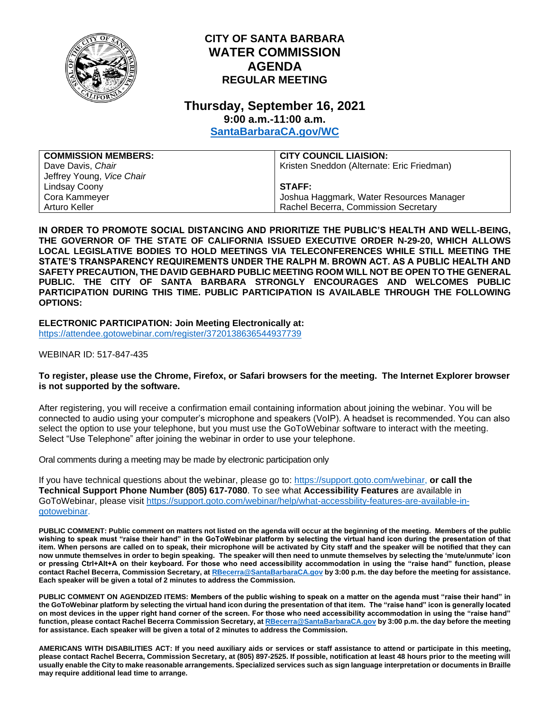

## **CITY OF SANTA BARBARA WATER COMMISSION AGENDA REGULAR MEETING**

## **Thursday, September 16, 2021 9:00 a.m.-11:00 a.m.**

**[SantaBarbaraCA.gov/WC](http://www.santabarbaraca.gov/wc)**

| <b>COMMISSION MEMBERS:</b> | <b>CITY COUNCIL LIAISION:</b>              |
|----------------------------|--------------------------------------------|
| Dave Davis, Chair          | Kristen Sneddon (Alternate: Eric Friedman) |
| Jeffrey Young, Vice Chair  |                                            |
| Lindsay Coony              | <b>STAFF:</b>                              |
| Cora Kammeyer              | Joshua Haggmark, Water Resources Manager   |
| Arturo Keller              | Rachel Becerra, Commission Secretary       |

**IN ORDER TO PROMOTE SOCIAL DISTANCING AND PRIORITIZE THE PUBLIC'S HEALTH AND WELL-BEING, THE GOVERNOR OF THE STATE OF CALIFORNIA ISSUED EXECUTIVE ORDER N-29-20, WHICH ALLOWS LOCAL LEGISLATIVE BODIES TO HOLD MEETINGS VIA TELECONFERENCES WHILE STILL MEETING THE STATE'S TRANSPARENCY REQUIREMENTS UNDER THE RALPH M. BROWN ACT. AS A PUBLIC HEALTH AND SAFETY PRECAUTION, THE DAVID GEBHARD PUBLIC MEETING ROOM WILL NOT BE OPEN TO THE GENERAL PUBLIC. THE CITY OF SANTA BARBARA STRONGLY ENCOURAGES AND WELCOMES PUBLIC PARTICIPATION DURING THIS TIME. PUBLIC PARTICIPATION IS AVAILABLE THROUGH THE FOLLOWING OPTIONS:**

**ELECTRONIC PARTICIPATION: Join Meeting Electronically at:** <https://attendee.gotowebinar.com/register/3720138636544937739>

WEBINAR ID: 517-847-435

## **To register, please use the Chrome, Firefox, or Safari browsers for the meeting. The Internet Explorer browser is not supported by the software.**

After registering, you will receive a confirmation email containing information about joining the webinar. You will be connected to audio using your computer's microphone and speakers (VoIP). A headset is recommended. You can also select the option to use your telephone, but you must use the GoToWebinar software to interact with the meeting. Select "Use Telephone" after joining the webinar in order to use your telephone.

Oral comments during a meeting may be made by electronic participation only

If you have technical questions about the webinar, please go to: [https://support.goto.com/webinar,](https://support.goto.com/webinar) **or call the Technical Support Phone Number (805) 617-7080**. To see what **Accessibility Features** are available in GoToWebinar, please visit [https://support.goto.com/webinar/help/what-accessbility-features-are-available-in](https://support.goto.com/webinar/help/what-accessbility-features-are-available-in-gotowebinar)[gotowebinar.](https://support.goto.com/webinar/help/what-accessbility-features-are-available-in-gotowebinar)

**PUBLIC COMMENT: Public comment on matters not listed on the agenda will occur at the beginning of the meeting. Members of the public wishing to speak must "raise their hand" in the GoToWebinar platform by selecting the virtual hand icon during the presentation of that item. When persons are called on to speak, their microphone will be activated by City staff and the speaker will be notified that they can now unmute themselves in order to begin speaking. The speaker will then need to unmute themselves by selecting the 'mute/unmute' icon or pressing Ctrl+Alt+A on their keyboard. For those who need accessibility accommodation in using the "raise hand" function, please contact Rachel Becerra, Commission Secretary, a[t RBecerra@SantaBarbaraCA.gov](mailto:RBecerra@SantaBarbaraCA.gov) by 3:00 p.m. the day before the meeting for assistance. Each speaker will be given a total of 2 minutes to address the Commission.** 

**PUBLIC COMMENT ON AGENDIZED ITEMS: Members of the public wishing to speak on a matter on the agenda must "raise their hand" in the GoToWebinar platform by selecting the virtual hand icon during the presentation of that item. The "raise hand" icon is generally located on most devices in the upper right hand corner of the screen. For those who need accessibility accommodation in using the "raise hand" function, please contact Rachel Becerra Commission Secretary, a[t RBecerra@SantaBarbaraCA.gov](mailto:RBecerra@SantaBarbaraCA.gov) by 3:00 p.m. the day before the meeting for assistance. Each speaker will be given a total of 2 minutes to address the Commission.** 

**AMERICANS WITH DISABILITIES ACT: If you need auxiliary aids or services or staff assistance to attend or participate in this meeting, please contact Rachel Becerra, Commission Secretary, at (805) 897-2525. If possible, notification at least 48 hours prior to the meeting will usually enable the City to make reasonable arrangements. Specialized services such as sign language interpretation or documents in Braille may require additional lead time to arrange.**